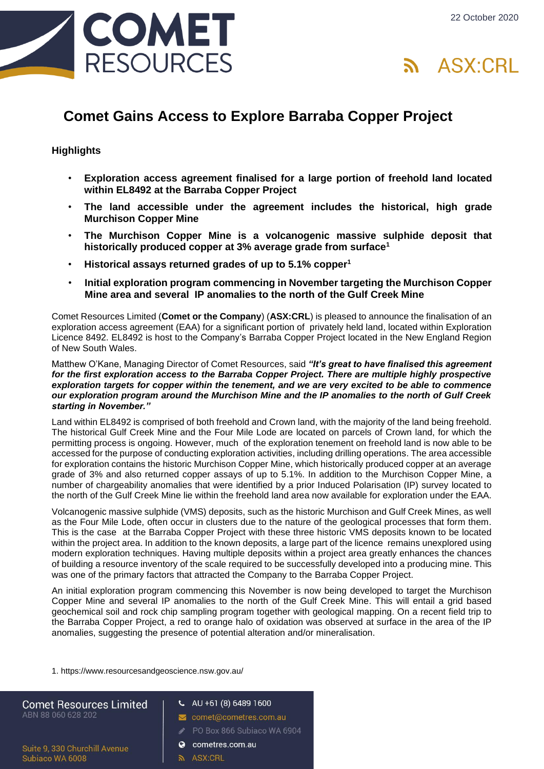



# **Comet Gains Access to Explore Barraba Copper Project**

## **Highlights**

- **Exploration access agreement finalised for a large portion of freehold land located within EL8492 at the Barraba Copper Project**
- **The land accessible under the agreement includes the historical, high grade Murchison Copper Mine**
- **The Murchison Copper Mine is a volcanogenic massive sulphide deposit that historically produced copper at 3% average grade from surface<sup>1</sup>**
- **Historical assays returned grades of up to 5.1% copper<sup>1</sup>**
- **Initial exploration program commencing in November targeting the Murchison Copper Mine area and several IP anomalies to the north of the Gulf Creek Mine**

Comet Resources Limited (**Comet or the Company**) (**ASX:CRL**) is pleased to announce the finalisation of an exploration access agreement (EAA) for a significant portion of privately held land, located within Exploration Licence 8492. EL8492 is host to the Company's Barraba Copper Project located in the New England Region of New South Wales.

#### Matthew O'Kane, Managing Director of Comet Resources, said *"It's great to have finalised this agreement for the first exploration access to the Barraba Copper Project. There are multiple highly prospective exploration targets for copper within the tenement, and we are very excited to be able to commence our exploration program around the Murchison Mine and the IP anomalies to the north of Gulf Creek starting in November."*

Land within EL8492 is comprised of both freehold and Crown land, with the majority of the land being freehold. The historical Gulf Creek Mine and the Four Mile Lode are located on parcels of Crown land, for which the permitting process is ongoing. However, much of the exploration tenement on freehold land is now able to be accessed for the purpose of conducting exploration activities, including drilling operations. The area accessible for exploration contains the historic Murchison Copper Mine, which historically produced copper at an average grade of 3% and also returned copper assays of up to 5.1%. In addition to the Murchison Copper Mine, a number of chargeability anomalies that were identified by a prior Induced Polarisation (IP) survey located to the north of the Gulf Creek Mine lie within the freehold land area now available for exploration under the EAA.

Volcanogenic massive sulphide (VMS) deposits, such as the historic Murchison and Gulf Creek Mines, as well as the Four Mile Lode, often occur in clusters due to the nature of the geological processes that form them. This is the case at the Barraba Copper Project with these three historic VMS deposits known to be located within the project area. In addition to the known deposits, a large part of the licence remains unexplored using modern exploration techniques. Having multiple deposits within a project area greatly enhances the chances of building a resource inventory of the scale required to be successfully developed into a producing mine. This was one of the primary factors that attracted the Company to the Barraba Copper Project.

An initial exploration program commencing this November is now being developed to target the Murchison Copper Mine and several IP anomalies to the north of the Gulf Creek Mine. This will entail a grid based geochemical soil and rock chip sampling program together with geological mapping. On a recent field trip to the Barraba Copper Project, a red to orange halo of oxidation was observed at surface in the area of the IP anomalies, suggesting the presence of potential alteration and/or mineralisation.

1. https://www.resourcesandgeoscience.nsw.gov.au/

| <b>Comet Resources Limited</b><br>ABN 88 060 628 202 | $U$ AU +61 (8) 6489 1600    |
|------------------------------------------------------|-----------------------------|
|                                                      | comet@cometres.com.au       |
|                                                      | PO Box 866 Subjaco WA 6904  |
| Suite 9, 330 Churchill Avenue<br>Oubings W/A 6000    | cometres.com.au<br>$\Omega$ |
|                                                      |                             |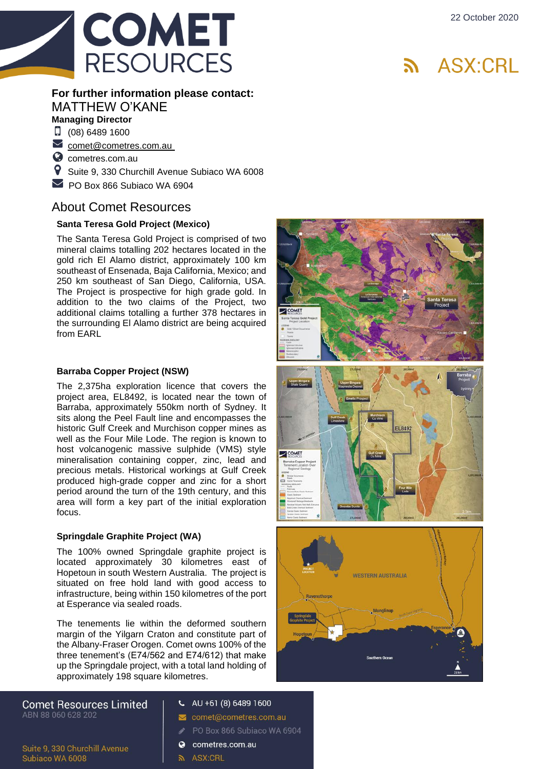

## **For further information please contact:**  MATTHEW O'KANE **Managing Director**

 $\Box$  (08) 6489 1600

 $\triangleright$  [comet@cometres.com.au](mailto:comet@cometres.com.au )

**C** [cometres.com.au](http://www.cometres.com.au/)

 $\bullet$ Suite 9, 330 Churchill Avenue Subiaco WA 6008

 $\triangleright$  PO Box 866 Subiaco WA 6904

# About Comet Resources

### **Santa Teresa Gold Project (Mexico)**

The Santa Teresa Gold Project is comprised of two mineral claims totalling 202 hectares located in the gold rich El Alamo district, approximately 100 km southeast of Ensenada, Baja California, Mexico; and 250 km southeast of San Diego, California, USA. The Project is prospective for high grade gold. In addition to the two claims of the Project, two additional claims totalling a further 378 hectares in the surrounding El Alamo district are being acquired from EARL

### **Barraba Copper Project (NSW)**

The 2,375ha exploration licen ce that covers the project area, EL8492, is located near the town of Barraba, approximately 550km north of Sydney. It sits along the Peel Fault line and encompasses the historic Gulf Creek and Murchison copper mines as well as the Four Mile Lode. The region is known to host volcanogenic massive sulphide (VMS) style mineralisation containing copper, zinc, lead and precious metals. Historical workings at Gulf Creek produced high -grade copper and zinc for a short period around the turn of the 19th century, and this area will form a key part of the initial exploration focus.

#### **Springdale Graphite Project (WA)**

The 100% owned Springdale graphite project is located approximately 30 kilometres east of Hopetoun in south Western Australia. The project is situated on free hold land with good access to infrastructure, being within 150 kilometres of the port at Esperance via sealed roads.

The tenements lie within the deformed southern margin of the Yilgarn Craton and constitute part of the Albany -Fraser Orogen. Comet owns 100% of the three tenement's (E74/562 and E74/612) that make up the Springdale project, with a total land holding of approximately 198 square kilometres.

**Comet Resources Limited** ABN 88 060 628 202

Suite 9, 330 Churchill Avenue

Subiaco WA 6008

- $U$  AU +61 (8) 6489 1600
- comet@cometres.com.au
- PO Box 866 Subiaco WA 6904
- cometres.com.au
- **ล** ASX:CRL